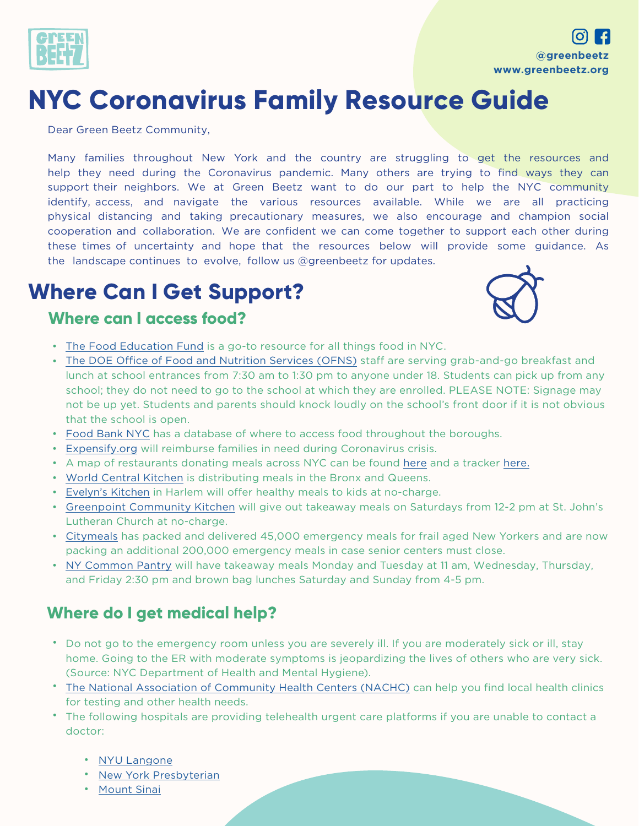

# **NYC Coronavirus Family Resource Guide**

Dear Green Beetz Community,

Many families throughout New York and the country are struggling to get the resources and help they need during the Coronavirus pandemic. Many others are trying to find ways they can support their neighbors. We at Green Beetz want to do our part to help the NYC community identify, access, and navigate the various resources available. While we are all practicing physical distancing and taking precautionary measures, we also encourage and champion social cooperation and collaboration. We are confident we can come together to support each other during these times of uncertainty and hope that the resources below will provide some guidance. As the landscape continues to evolve, follow us @greenbeetz for updates.

# **Where Can I Get Support?**

#### **Where can I access food?**



- [The Food Education Fund](https://sites.google.com/foodeducationfund.org/foodhubnyc/home?utm_source=Food+Education+Fund&utm_campaign=463dfb6fc3-EMAIL_CAMPAIGN_2017_11_01_COPY_01&utm_medium=email&utm_term=0_d9f109fd73-463dfb6fc3-42653591&mc_cid=463dfb6fc3&mc_eid=72cae540c7) is a go-to resource for all things food in NYC.
- The DOE Office of [Food and Nutrition](https://nces.ed.gov/ccd/schoolsearch/) Services (OFNS) staff are serving grab-and-go breakfast and lunch at school entrances from 7:30 am to 1:30 pm to anyone under 18. Students can pick up from any school; they do not need to go to the school at which they are enrolled. PLEASE NOTE: Signage may not be up yet. Students and parents should knock loudly on the school's front door if it is not obvious that the school is open.
- [Food Bank NYC](https://www.foodbanknyc.org/get-help/) has a database of where to access food throughout the boroughs.
- [Expensify.org](https://www.expensify.org/hunger) will reimburse families in need during Coronavirus crisis.
- A map of restaurants donating meals across NYC can be found [here](https://www.google.com/maps/d/u/0/viewer?mid=1FU1Eg9em2ZkJSIizaBlftrYi02tCUF2L&ll=40.78556534707287%2C-73.88402740000004&z=11) and a tracker [here.](https://sites.google.com/foodeducationfund.org/foodhubnyc/home?utm_source=Food+Education+Fund&utm_campaign=463dfb6fc3-EMAIL_CAMPAIGN_2017_11_01_COPY_01&utm_medium=email&utm_term=0_d9f109fd73-463dfb6fc3-42653591&mc_cid=463dfb6fc3&mc_eid=72cae540c7)
- [World Central Kitchen](https://wck.org/news/thebronx) is distributing meals in the Bronx and Queens.
- [Evelyn's Kitchen](http://www.evelyns-kitchen.com/) in Harlem will offer healthy meals to kids at no-charge.
- [Greenpoint Community Kitchen](https://www.instagram.com/greenpointcommunitykitchen/) will give out takeaway meals on Saturdays from 12-2 pm at St. John's Lutheran Church at no-charge.
- [Citymeals](http://citymeals.org/coronavirus-outbreak-response?utm_campaign=fy20spring&utm_medium=website&utm_source=2003WWSG0100&origin=2003WWSG0100) has packed and delivered 45,000 emergency meals for frail aged New Yorkers and are now packing an additional 200,000 emergency meals in case senior centers must close.
- [NY Common Pantry](http://nycommonpantry.org/home/food-programs-2/) will have takeaway meals Monday and Tuesday at 11 am, Wednesday, Thursday, and Friday 2:30 pm and brown bag lunches Saturday and Sunday from 4-5 pm.

### **Where do I get medical help?**

- Do not go to the emergency room unless you are severely ill. If you are moderately sick or ill, stay home. Going to the ER with moderate symptoms is jeopardizing the lives of others who are very sick. (Source: NYC Department of Health and Mental Hygiene).
- [The National Association of Community Health Centers \(NACHC\)](https://findahealthcenter.hrsa.gov/) can help you find local health clinics for testing and other health needs.
- The following hospitals are providing telehealth urgent care platforms if you are unable to contact a doctor:
	- [NYU Langone](https://nyulangone.org/locations/virtual-urgent-care)
	- [New York Presbyterian](https://www.nyp.org/ondemand/urgent-care)
	- [Mount Sinai](https://www.mountsinai.org/appointment/telehealth-ms-now) •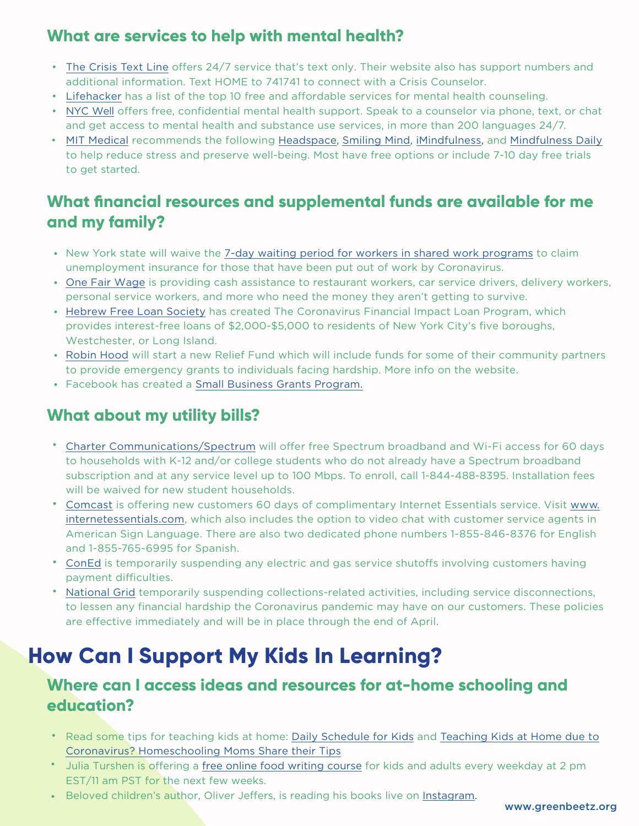### **What are services to help with mental health?**

- [The Crisis Text Line](https://www.crisistextline.org/) offers 24/7 service that's text only. Their website also has support numbers and additional information. Text HOME to 741741 to connect with a Crisis Counselor.
- [Lifehacker](https://lifehacker.com/top-10-free-and-affordable-mental-health-and-counseling-1788814933.) has a list of the top 10 free and affordable services for mental health counseling.
- [NYC Well](https://nycwell.cityofnewyork.us/en/) offers free, confidential mental health support. Speak to a counselor via phone, text, or chat and get access to mental health and substance use services, in more than 200 languages 24/7.
- MIT [Medical](https://medical.mit.edu/stay-healthy-mit-stress-reduction/mindfulness-apps) recommends the following [Headspace,](https://www.headspace.com/) [Smiling Mind](https://www.smilingmind.com.au/), [iMindfulness](https://apps.apple.com/us/app/imindfulness/id473747142), and [Mindfulness Daily](http://www.mindfulnessdailyapp.com/) to help reduce stress and preserve well-being. Most have free options or include 7-10 day free trials to get started.

### **What financial resources and supplemental funds are available for me and my family?**

- New York state will waive the [7-day waiting period for workers in shared work programs](https://www.governor.ny.gov/news/during-coronavirus-briefing-governor-cuomo-announces-department-financial-services-will-require) to claim unemployment insurance for those that have been put out of work by Coronavirus.
- [One Fair Wage](https://ofwemergencyfund.org/) is providing cash assistance to restaurant workers, car service drivers, delivery workers, personal service workers, and more who need the money they aren't getting to survive.
- [Hebrew Free Loan Society](https://hfls.org/loan-programs/coronavirusfinancialimpactloan#1496865147632-7b27b785-f9fab2fb-9510) has created The Coronavirus Financial Impact Loan Program, which provides interest-free loans of \$2,000-\$5,000 to residents of New York City's five boroughs, Westchester, or Long Island.
- [Robin Hood](https://www.robinhood.org/) will start a new Relief Fund which will include funds for some of their community partners to provide emergency grants to individuals facing hardship. More info on the website.
- Facebook has created a [Small Business Grants Program.](https://www.facebook.com/business/boost/grants)

### **What about my utility bills?**

- [Charter Communications/Spectrum](https://corporate.charter.com/newsroom/charter-to-offer-free-access-to-spectrum-broadband-and-wifi-for-60-days-for-new-K12-and-college-student-households-and-more) will offer free Spectrum broadband and Wi-Fi access for 60 days to households with K-12 and/or college students who do not already have a Spectrum broadband subscription and at any service level up to 100 Mbps. To enroll, call 1-844-488-8395. Installation fees will be waived for new student households.
- [Comcast](https://corporate.comcast.com/press/releases/internet-essentials-low-income-broadband-coronavirus-pandemic) is offering new customers 60 days of complimentary Internet Essentials service. Visit [www.](https://www.internetessentials.com/) [internetessentials.com,](https://www.internetessentials.com/) which also includes the option to video chat with customer service agents in American Sign Language. There are also two dedicated phone numbers 1-855-846-8376 for English and 1-855-765-6995 for Spanish. •
- [ConEd](https://www.coned.com/en/about-us/media-center/news/20200313/con-edison-suspends-service-shutoffs?utm_source=TWITTER&utm_content=3197955780&utm_campaign=Crisis+Communications) is temporarily suspending any electric and gas service shutoffs involving customers having payment difficulties.
- [National Grid](https://www.nationalgridus.com/COVID-19) temporarily suspending collections-related activities, including service disconnections, to lessen any financial hardship the Coronavirus pandemic may have on our customers. These policies are effective immediately and will be in place through the end of April. •

# **How Can I Support My Kids In Learning?**

### **Where can I access ideas and resources for at-home schooling and education?**

- Read some tips for teaching kids at home: [Daily Schedule for Kids](https://kfan.iheart.com/featured/mansour-s-musings/content/2020-03-15-try-this-covid-19-daily-schedule-to-keep-your-kids-from-going-stir-crazy/) and [Teaching Kids at Home](https://www.today.com/parents/coronavius-schools-closed-here-s-how-teach-kids-home-t175904) due to [Coronavirus? Homeschooling Moms Share their Tips](https://www.today.com/parents/coronavius-schools-closed-here-s-how-teach-kids-home-t175904)
- Julia Turshen is offering a [free online food writing course](https://www.instagram.com/turshen/?hl=en) for kids and adults every weekday at 2 pm EST/11 am PST for the next few weeks. •
- Beloved children's author, Oliver Jeffers, is reading his books live on Instagram.